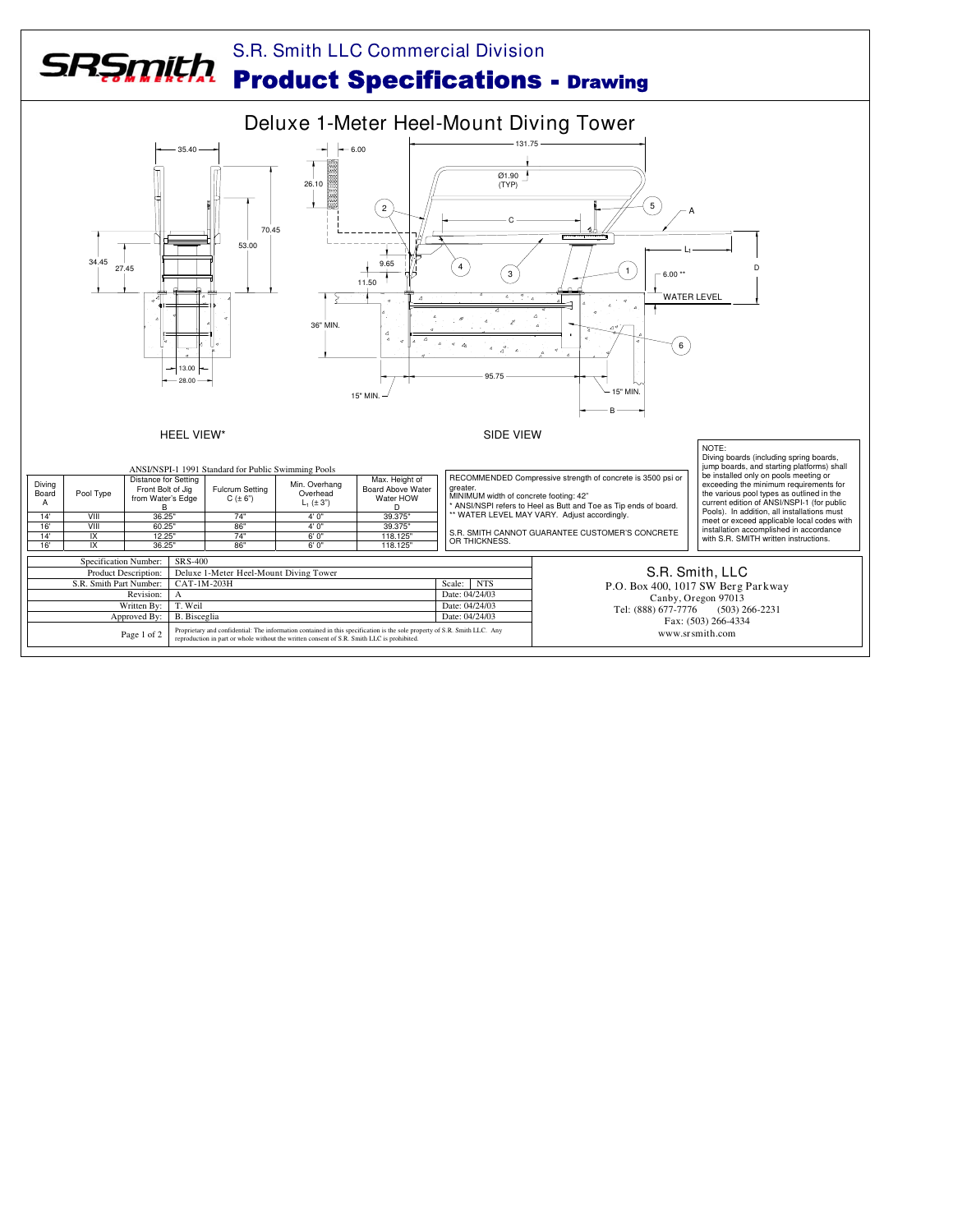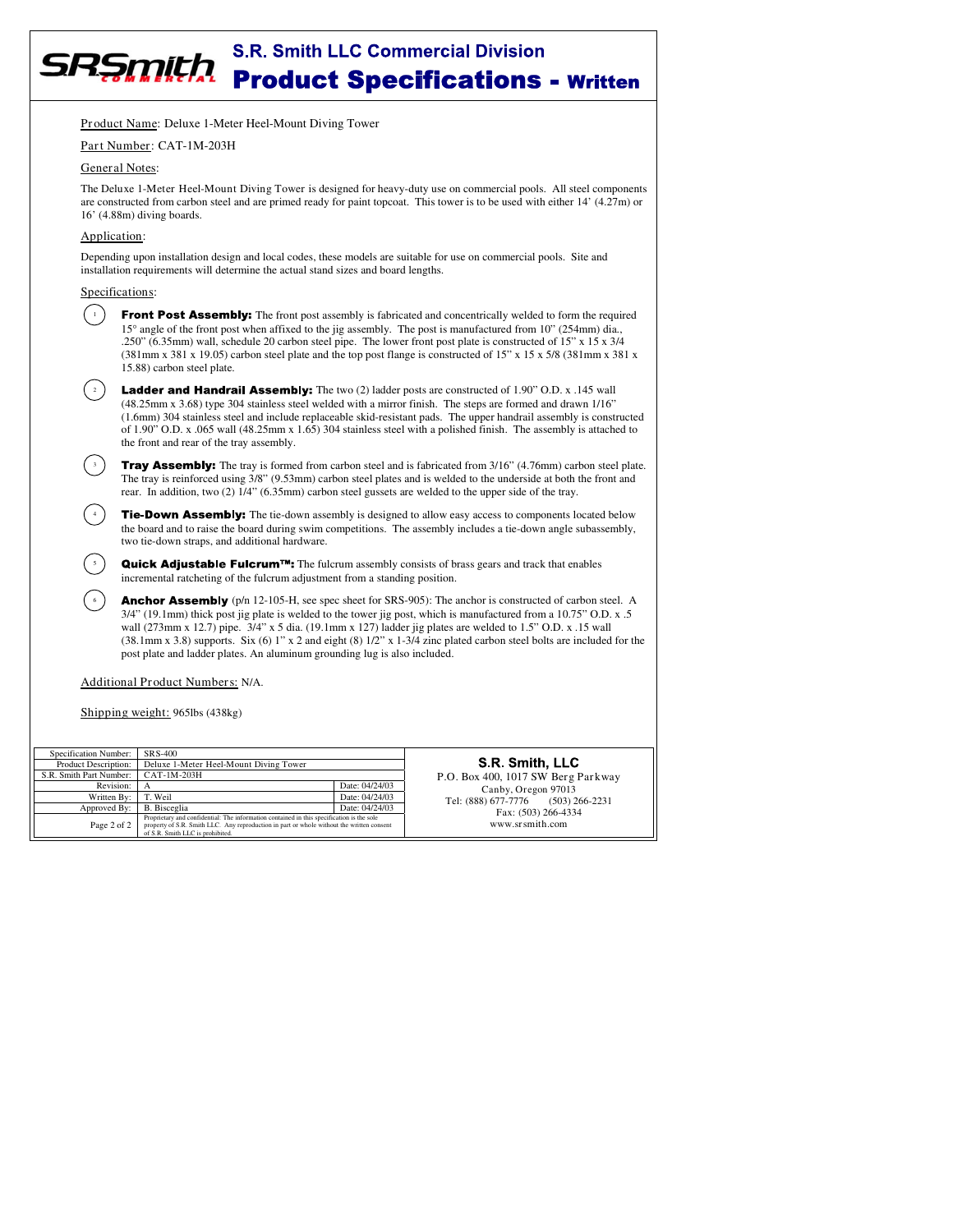# **S.R. Smith LLC Commercial Division** SRŞmith **Product Specifications - Written**

Product Name: Deluxe 1-Meter Heel-Mount Diving Tower

#### Part Number: CAT-1M-203H

#### General Notes:

The Deluxe 1-Meter Heel-Mount Diving Tower is designed for heavy-duty use on commercial pools. All steel components are constructed from carbon steel and are primed ready for paint topcoat. This tower is to be used with either 14' (4.27m) or 16' (4.88m) diving boards.

### Application:

Depending upon installation design and local codes, these models are suitable for use on commercial pools. Site and installation requirements will determine the actual stand sizes and board lengths.

## Specifications:

3

4

5

6

Front Post Assembly: The front post assembly is fabricated and concentrically welded to form the required 15° angle of the front post when affixed to the jig assembly. The post is manufactured from 10" (254mm) dia., .250" (6.35mm) wall, schedule 20 carbon steel pipe. The lower front post plate is constructed of 15" x 15 x 3/4 (381mm x 381 x 19.05) carbon steel plate and the top post flange is constructed of 15" x 15 x 5/8 (381mm x 381 x 15.88) carbon steel plate. 1

**Ladder and Handrail Assembly:** The two (2) ladder posts are constructed of 1.90" O.D. x .145 wall (48.25mm x 3.68) type 304 stainless steel welded with a mirror finish. The steps are formed and drawn 1/16" (1.6mm) 304 stainless steel and include replaceable skid-resistant pads. The upper handrail assembly is constructed of 1.90" O.D. x .065 wall (48.25mm x 1.65) 304 stainless steel with a polished finish. The assembly is attached to the front and rear of the tray assembly.

**Tray Assembly:** The tray is formed from carbon steel and is fabricated from 3/16" (4.76mm) carbon steel plate. The tray is reinforced using 3/8" (9.53mm) carbon steel plates and is welded to the underside at both the front and rear. In addition, two (2) 1/4" (6.35mm) carbon steel gussets are welded to the upper side of the tray.

Tie-Down Assembly: The tie-down assembly is designed to allow easy access to components located below the board and to raise the board during swim competitions. The assembly includes a tie-down angle subassembly, two tie-down straps, and additional hardware.

 $Quick$  Adjustable Fulcrum<sup>TM</sup>: The fulcrum assembly consists of brass gears and track that enables incremental ratcheting of the fulcrum adjustment from a standing position.

**Anchor Assembly** ( $p/n$  12-105-H, see spec sheet for SRS-905): The anchor is constructed of carbon steel. A 3/4" (19.1mm) thick post jig plate is welded to the tower jig post, which is manufactured from a 10.75" O.D. x .5 wall (273mm x 12.7) pipe. 3/4" x 5 dia. (19.1mm x 127) ladder jig plates are welded to 1.5" O.D. x .15 wall (38.1mm x 3.8) supports. Six (6) 1" x 2 and eight (8)  $1/2$ " x  $1-3/4$  zinc plated carbon steel bolts are included for the post plate and ladder plates. An aluminum grounding lug is also included.

# Additional Product Numbers: N/A.

Shipping weight: 965lbs (438kg)

| Specification Number:   | SRS-400                                                                                                                                                                                                                    |                | SR S<br>P.O. Box 400, 10            |
|-------------------------|----------------------------------------------------------------------------------------------------------------------------------------------------------------------------------------------------------------------------|----------------|-------------------------------------|
| Product Description:    | Deluxe 1-Meter Heel-Mount Diving Tower                                                                                                                                                                                     |                |                                     |
| S.R. Smith Part Number: | CAT-1M-203H                                                                                                                                                                                                                |                |                                     |
| Revision:               | А                                                                                                                                                                                                                          | Date: 04/24/03 | Canby,<br>Tel: (888) 677-77<br>Fax: |
| Written By:             | T. Weil                                                                                                                                                                                                                    | Date: 04/24/03 |                                     |
| Approved By:            | <b>B.</b> Bisceglia                                                                                                                                                                                                        | Date: 04/24/03 |                                     |
| Page 2 of 2             | Proprietary and confidential: The information contained in this specification is the sole<br>property of S.R. Smith LLC. Any reproduction in part or whole without the written consent<br>of S.R. Smith LLC is prohibited. |                | www.                                |

mith, LLC 17 SW Berg Parkway Oregon 97013<br>776 (503) 2  $(503)$  266-2231  $(503)$  266-4334 www.srsmith.com